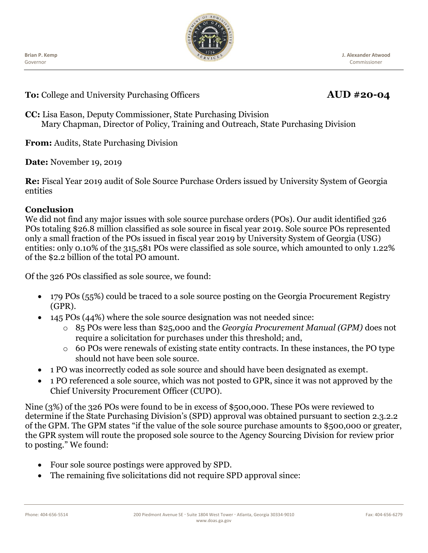Ĭ **Brian P. Kemp** Governor



**To:** College and University Purchasing Officers **AUD #20-04** 

**CC:** Lisa Eason, Deputy Commissioner, State Purchasing Division Mary Chapman, Director of Policy, Training and Outreach, State Purchasing Division

**From:** Audits, State Purchasing Division

**Date:** November 19, 2019

**Re:** Fiscal Year 2019 audit of Sole Source Purchase Orders issued by University System of Georgia entities

### **Conclusion**

We did not find any major issues with sole source purchase orders (POs). Our audit identified 326 POs totaling \$26.8 million classified as sole source in fiscal year 2019. Sole source POs represented only a small fraction of the POs issued in fiscal year 2019 by University System of Georgia (USG) entities: only 0.10% of the 315,581 POs were classified as sole source, which amounted to only 1.22% of the \$2.2 billion of the total PO amount.

Of the 326 POs classified as sole source, we found:

- 179 POs (55%) could be traced to a sole source posting on the Georgia Procurement Registry (GPR).
- 145 POs (44%) where the sole source designation was not needed since:
	- o 85 POs were less than \$25,000 and the *Georgia Procurement Manual (GPM)* does not require a solicitation for purchases under this threshold; and,
	- o 60 POs were renewals of existing state entity contracts. In these instances, the PO type should not have been sole source.
- 1 PO was incorrectly coded as sole source and should have been designated as exempt.
- 1 PO referenced a sole source, which was not posted to GPR, since it was not approved by the Chief University Procurement Officer (CUPO).

Nine (3%) of the 326 POs were found to be in excess of \$500,000. These POs were reviewed to determine if the State Purchasing Division's (SPD) approval was obtained pursuant to section 2.3.2.2 of the GPM. The GPM states "if the value of the sole source purchase amounts to \$500,000 or greater, the GPR system will route the proposed sole source to the Agency Sourcing Division for review prior to posting." We found:

- Four sole source postings were approved by SPD.
- The remaining five solicitations did not require SPD approval since: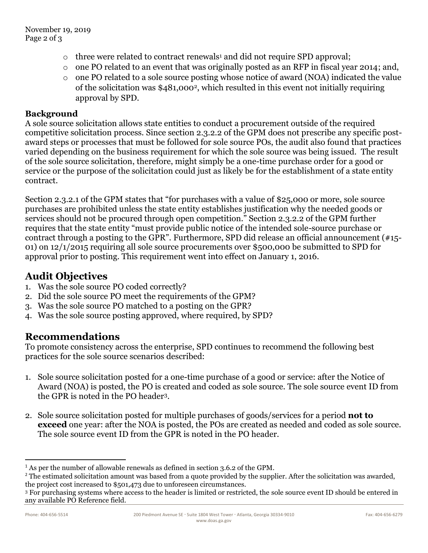- $\circ$  three were related to contract renewals<sup>1</sup> and did not require SPD approval;
- o one PO related to an event that was originally posted as an RFP in fiscal year 2014; and,
- o one PO related to a sole source posting whose notice of award (NOA) indicated the value of the solicitation was \$481,0002, which resulted in this event not initially requiring approval by SPD.

#### **Background**

A sole source solicitation allows state entities to conduct a procurement outside of the required competitive solicitation process. Since section 2.3.2.2 of the GPM does not prescribe any specific postaward steps or processes that must be followed for sole source POs, the audit also found that practices varied depending on the business requirement for which the sole source was being issued. The result of the sole source solicitation, therefore, might simply be a one-time purchase order for a good or service or the purpose of the solicitation could just as likely be for the establishment of a state entity contract.

Section 2.3.2.1 of the GPM states that "for purchases with a value of \$25,000 or more, sole source purchases are prohibited unless the state entity establishes justification why the needed goods or services should not be procured through open competition." Section 2.3.2.2 of the GPM further requires that the state entity "must provide public notice of the intended sole-source purchase or contract through a posting to the GPR". Furthermore, SPD did release an official announcement (#15- 01) on 12/1/2015 requiring all sole source procurements over \$500,000 be submitted to SPD for approval prior to posting. This requirement went into effect on January 1, 2016.

# **Audit Objectives**

- 1. Was the sole source PO coded correctly?
- 2. Did the sole source PO meet the requirements of the GPM?
- 3. Was the sole source PO matched to a posting on the GPR?
- 4. Was the sole source posting approved, where required, by SPD?

## **Recommendations**

To promote consistency across the enterprise, SPD continues to recommend the following best practices for the sole source scenarios described:

- 1. Sole source solicitation posted for a one-time purchase of a good or service: after the Notice of Award (NOA) is posted, the PO is created and coded as sole source. The sole source event ID from the GPR is noted in the PO header3.
- 2. Sole source solicitation posted for multiple purchases of goods/services for a period **not to exceed** one year: after the NOA is posted, the POs are created as needed and coded as sole source. The sole source event ID from the GPR is noted in the PO header.

 $\overline{\phantom{a}}$ 

<sup>1</sup> As per the number of allowable renewals as defined in section 3.6.2 of the GPM*.*

<sup>&</sup>lt;sup>2</sup> The estimated solicitation amount was based from a quote provided by the supplier. After the solicitation was awarded, the project cost increased to \$501,473 due to unforeseen circumstances.

<sup>3</sup> For purchasing systems where access to the header is limited or restricted, the sole source event ID should be entered in any available PO Reference field.